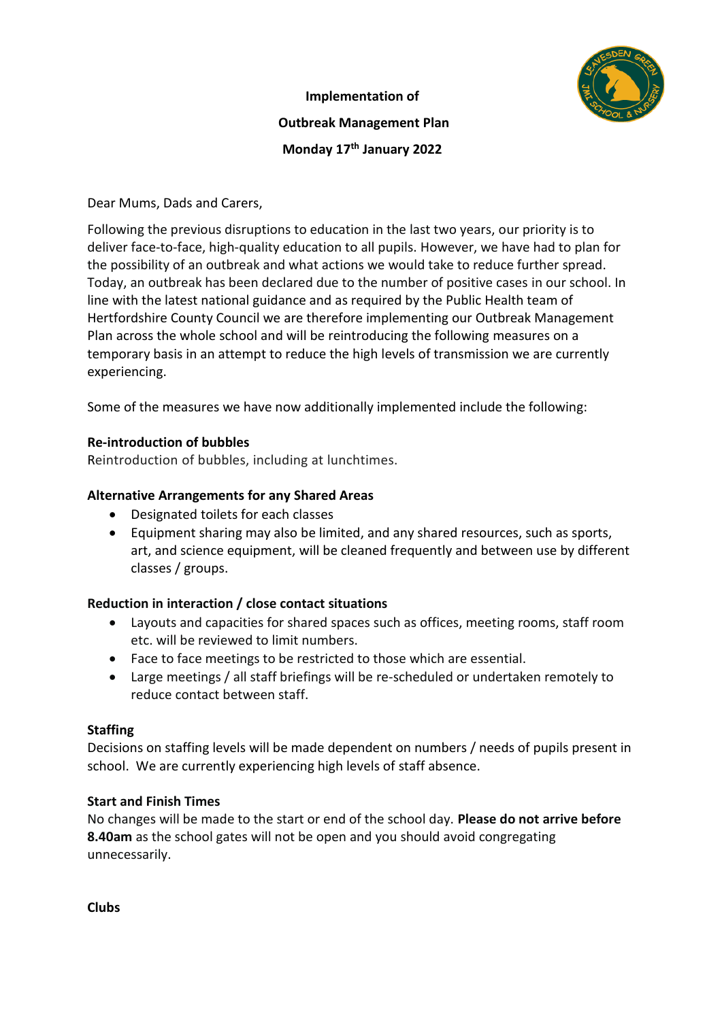# **Implementation of**



# **Outbreak Management Plan Monday 17th January 2022**

Dear Mums, Dads and Carers,

Following the previous disruptions to education in the last two years, our priority is to deliver face-to-face, high-quality education to all pupils. However, we have had to plan for the possibility of an outbreak and what actions we would take to reduce further spread. Today, an outbreak has been declared due to the number of positive cases in our school. In line with the latest national guidance and as required by the Public Health team of Hertfordshire County Council we are therefore implementing our Outbreak Management Plan across the whole school and will be reintroducing the following measures on a temporary basis in an attempt to reduce the high levels of transmission we are currently experiencing.

Some of the measures we have now additionally implemented include the following:

# **Re-introduction of bubbles**

Reintroduction of bubbles, including at lunchtimes.

# **Alternative Arrangements for any Shared Areas**

- Designated toilets for each classes
- Equipment sharing may also be limited, and any shared resources, such as sports, art, and science equipment, will be cleaned frequently and between use by different classes / groups.

#### **Reduction in interaction / close contact situations**

- Layouts and capacities for shared spaces such as offices, meeting rooms, staff room etc. will be reviewed to limit numbers.
- Face to face meetings to be restricted to those which are essential.
- Large meetings / all staff briefings will be re-scheduled or undertaken remotely to reduce contact between staff.

#### **Staffing**

Decisions on staffing levels will be made dependent on numbers / needs of pupils present in school. We are currently experiencing high levels of staff absence.

#### **Start and Finish Times**

No changes will be made to the start or end of the school day. **Please do not arrive before 8.40am** as the school gates will not be open and you should avoid congregating unnecessarily.

**Clubs**